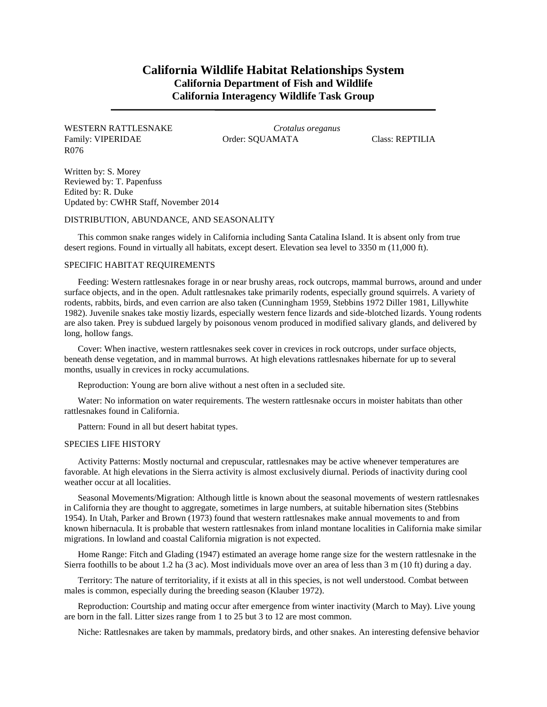# **California Wildlife Habitat Relationships System California Department of Fish and Wildlife California Interagency Wildlife Task Group**

## WESTERN RATTLESNAKE *Crotalus oreganus* Family: VIPERIDAE Order: SQUAMATA Class: REPTILIA R076

Written by: S. Morey Reviewed by: T. Papenfuss Edited by: R. Duke Updated by: CWHR Staff, November 2014

### DISTRIBUTION, ABUNDANCE, AND SEASONALITY

This common snake ranges widely in California including Santa Catalina Island. It is absent only from true desert regions. Found in virtually all habitats, except desert. Elevation sea level to 3350 m (11,000 ft).

## SPECIFIC HABITAT REQUIREMENTS

Feeding: Western rattlesnakes forage in or near brushy areas, rock outcrops, mammal burrows, around and under surface objects, and in the open. Adult rattlesnakes take primarily rodents, especially ground squirrels. A variety of rodents, rabbits, birds, and even carrion are also taken (Cunningham 1959, Stebbins 1972 Diller 1981, Lillywhite 1982). Juvenile snakes take mostiy lizards, especially western fence lizards and side-blotched lizards. Young rodents are also taken. Prey is subdued largely by poisonous venom produced in modified salivary glands, and delivered by long, hollow fangs.

Cover: When inactive, western rattlesnakes seek cover in crevices in rock outcrops, under surface objects, beneath dense vegetation, and in mammal burrows. At high elevations rattlesnakes hibernate for up to several months, usually in crevices in rocky accumulations.

Reproduction: Young are born alive without a nest often in a secluded site.

Water: No information on water requirements. The western rattlesnake occurs in moister habitats than other rattlesnakes found in California.

Pattern: Found in all but desert habitat types.

#### SPECIES LIFE HISTORY

Activity Patterns: Mostly nocturnal and crepuscular, rattlesnakes may be active whenever temperatures are favorable. At high elevations in the Sierra activity is almost exclusively diurnal. Periods of inactivity during cool weather occur at all localities.

Seasonal Movements/Migration: Although little is known about the seasonal movements of western rattlesnakes in California they are thought to aggregate, sometimes in large numbers, at suitable hibernation sites (Stebbins 1954). In Utah, Parker and Brown (1973) found that western rattlesnakes make annual movements to and from known hibernacula. It is probable that western rattlesnakes from inland montane localities in California make similar migrations. In lowland and coastal California migration is not expected.

Home Range: Fitch and Glading (1947) estimated an average home range size for the western rattlesnake in the Sierra foothills to be about 1.2 ha (3 ac). Most individuals move over an area of less than 3 m (10 ft) during a day.

Territory: The nature of territoriality, if it exists at all in this species, is not well understood. Combat between males is common, especially during the breeding season (Klauber 1972).

Reproduction: Courtship and mating occur after emergence from winter inactivity (March to May). Live young are born in the fall. Litter sizes range from 1 to 25 but 3 to 12 are most common.

Niche: Rattlesnakes are taken by mammals, predatory birds, and other snakes. An interesting defensive behavior